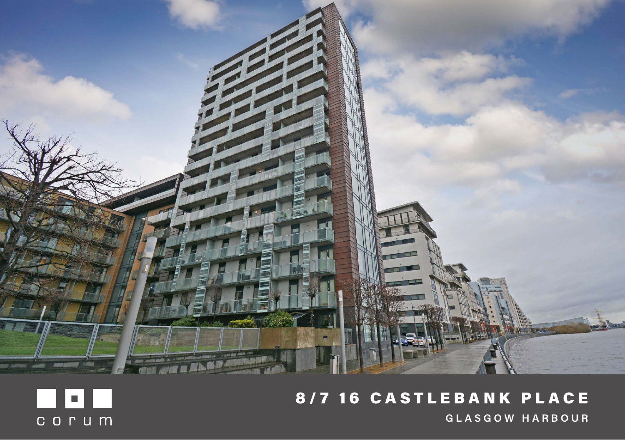

# 8/7 16 CASTLEBANK PLACE **GLASGOW HARBOUR**

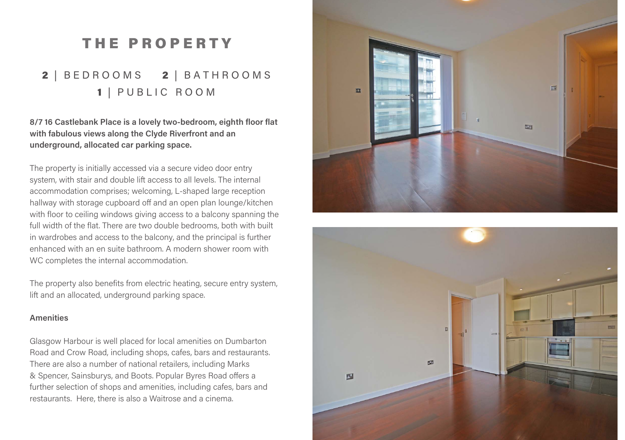# THE PROPERTY

### 2 | BED ROOMS 2 | BATH ROOMS 1 | PUBLIC ROOM

**8/7 16 Castlebank Place is a lovely two-bedroom, eighth floor flat with fabulous views along the Clyde Riverfront and an underground, allocated car parking space.**

The property is initially accessed via a secure video door entry system, with stair and double lift access to all levels. The internal accommodation comprises; welcoming, L-shaped large reception hallway with storage cupboard off and an open plan lounge/kitchen with floor to ceiling windows giving access to a balcony spanning the full width of the flat. There are two double bedrooms, both with built in wardrobes and access to the balcony, and the principal is further enhanced with an en suite bathroom. A modern shower room with WC completes the internal accommodation.

The property also benefits from electric heating, secure entry system, lift and an allocated, underground parking space.

#### **Amenities**

Glasgow Harbour is well placed for local amenities on Dumbarton Road and Crow Road, including shops, cafes, bars and restaurants. There are also a number of national retailers, including Marks & Spencer, Sainsburys, and Boots. Popular Byres Road offers a further selection of shops and amenities, including cafes, bars and restaurants. Here, there is also a Waitrose and a cinema.



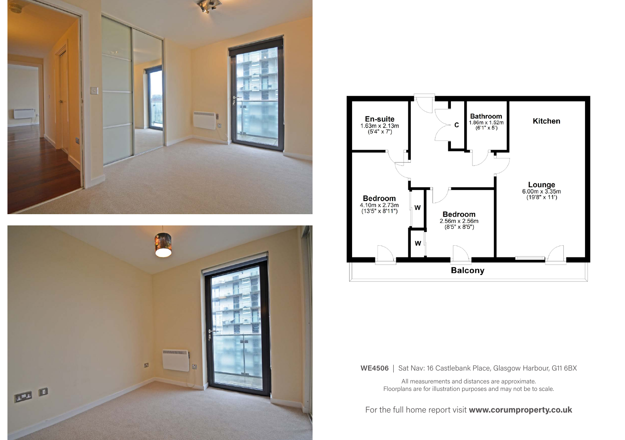





**WE4506** | Sat Nav: 16 Castlebank Place, Glasgow Harbour, G11 6BX

All measurements and distances are approximate. Floorplans are for illustration purposes and may not be to scale.

For the full home report visit **www.corumproperty.co.uk**